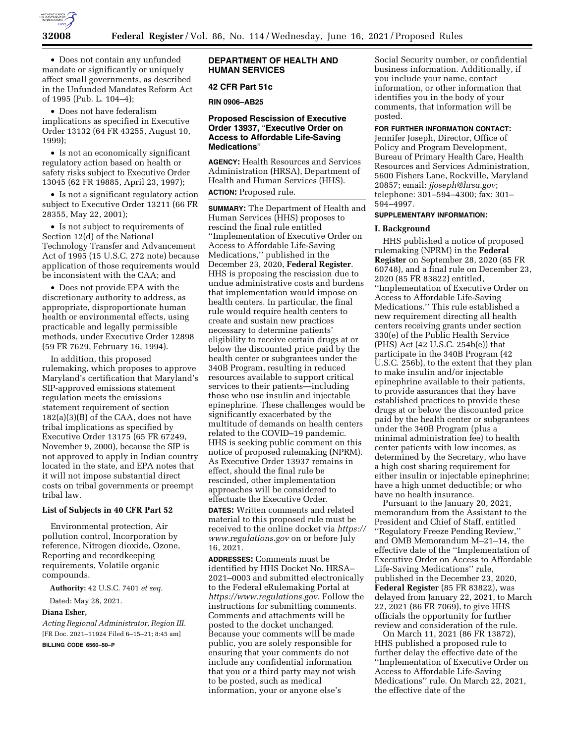

• Does not contain any unfunded mandate or significantly or uniquely affect small governments, as described in the Unfunded Mandates Reform Act of 1995 (Pub. L. 104–4);

• Does not have federalism implications as specified in Executive Order 13132 (64 FR 43255, August 10, 1999);

• Is not an economically significant regulatory action based on health or safety risks subject to Executive Order 13045 (62 FR 19885, April 23, 1997);

• Is not a significant regulatory action subject to Executive Order 13211 (66 FR 28355, May 22, 2001);

• Is not subject to requirements of Section 12(d) of the National Technology Transfer and Advancement Act of 1995 (15 U.S.C. 272 note) because application of those requirements would be inconsistent with the CAA; and

• Does not provide EPA with the discretionary authority to address, as appropriate, disproportionate human health or environmental effects, using practicable and legally permissible methods, under Executive Order 12898 (59 FR 7629, February 16, 1994).

In addition, this proposed rulemaking, which proposes to approve Maryland's certification that Maryland's SIP-approved emissions statement regulation meets the emissions statement requirement of section 182(a)(3)(B) of the CAA, does not have tribal implications as specified by Executive Order 13175 (65 FR 67249, November 9, 2000), because the SIP is not approved to apply in Indian country located in the state, and EPA notes that it will not impose substantial direct costs on tribal governments or preempt tribal law.

## **List of Subjects in 40 CFR Part 52**

Environmental protection, Air pollution control, Incorporation by reference, Nitrogen dioxide, Ozone, Reporting and recordkeeping requirements, Volatile organic compounds.

**Authority:** 42 U.S.C. 7401 *et seq.* 

Dated: May 28, 2021.

# **Diana Esher,**

*Acting Regional Administrator, Region III.*  [FR Doc. 2021–11924 Filed 6–15–21; 8:45 am]

**BILLING CODE 6560–50–P** 

## **DEPARTMENT OF HEALTH AND HUMAN SERVICES**

## **42 CFR Part 51c**

**RIN 0906–AB25** 

## **Proposed Rescission of Executive Order 13937,** ''**Executive Order on Access to Affordable Life-Saving Medications**''

**AGENCY:** Health Resources and Services Administration (HRSA), Department of Health and Human Services (HHS).

# **ACTION:** Proposed rule.

**SUMMARY:** The Department of Health and Human Services (HHS) proposes to rescind the final rule entitled ''Implementation of Executive Order on Access to Affordable Life-Saving Medications,'' published in the December 23, 2020, **Federal Register**. HHS is proposing the rescission due to undue administrative costs and burdens that implementation would impose on health centers. In particular, the final rule would require health centers to create and sustain new practices necessary to determine patients' eligibility to receive certain drugs at or below the discounted price paid by the health center or subgrantees under the 340B Program, resulting in reduced resources available to support critical services to their patients—including those who use insulin and injectable epinephrine. These challenges would be significantly exacerbated by the multitude of demands on health centers related to the COVID–19 pandemic. HHS is seeking public comment on this notice of proposed rulemaking (NPRM). As Executive Order 13937 remains in effect, should the final rule be rescinded, other implementation approaches will be considered to effectuate the Executive Order.

**DATES:** Written comments and related material to this proposed rule must be received to the online docket via *[https://](https://www.regulations.gov)  [www.regulations.gov](https://www.regulations.gov)* on or before July 16, 2021.

**ADDRESSES:** Comments must be identified by HHS Docket No. HRSA– 2021–0003 and submitted electronically to the Federal eRulemaking Portal at *<https://www.regulations.gov>*. Follow the instructions for submitting comments. Comments and attachments will be posted to the docket unchanged. Because your comments will be made public, you are solely responsible for ensuring that your comments do not include any confidential information that you or a third party may not wish to be posted, such as medical information, your or anyone else's

Social Security number, or confidential business information. Additionally, if you include your name, contact information, or other information that identifies you in the body of your comments, that information will be posted.

# **FOR FURTHER INFORMATION CONTACT:**

Jennifer Joseph, Director, Office of Policy and Program Development, Bureau of Primary Health Care, Health Resources and Services Administration, 5600 Fishers Lane, Rockville, Maryland 20857; email: *[jjoseph@hrsa.gov](mailto:jjoseph@hrsa.gov)*; telephone: 301–594–4300; fax: 301– 594–4997.

### **SUPPLEMENTARY INFORMATION:**

#### **I. Background**

HHS published a notice of proposed rulemaking (NPRM) in the **Federal Register** on September 28, 2020 (85 FR 60748), and a final rule on December 23, 2020 (85 FR 83822) entitled, ''Implementation of Executive Order on Access to Affordable Life-Saving Medications.'' This rule established a new requirement directing all health centers receiving grants under section 330(e) of the Public Health Service (PHS) Act (42 U.S.C. 254b(e)) that participate in the 340B Program (42 U.S.C. 256b), to the extent that they plan to make insulin and/or injectable epinephrine available to their patients, to provide assurances that they have established practices to provide these drugs at or below the discounted price paid by the health center or subgrantees under the 340B Program (plus a minimal administration fee) to health center patients with low incomes, as determined by the Secretary, who have a high cost sharing requirement for either insulin or injectable epinephrine; have a high unmet deductible; or who have no health insurance.

Pursuant to the January 20, 2021, memorandum from the Assistant to the President and Chief of Staff, entitled ''Regulatory Freeze Pending Review,'' and OMB Memorandum M–21–14, the effective date of the ''Implementation of Executive Order on Access to Affordable Life-Saving Medications'' rule, published in the December 23, 2020, **Federal Register** (85 FR 83822), was delayed from January 22, 2021, to March 22, 2021 (86 FR 7069), to give HHS officials the opportunity for further review and consideration of the rule.

On March 11, 2021 (86 FR 13872), HHS published a proposed rule to further delay the effective date of the ''Implementation of Executive Order on Access to Affordable Life-Saving Medications'' rule. On March 22, 2021, the effective date of the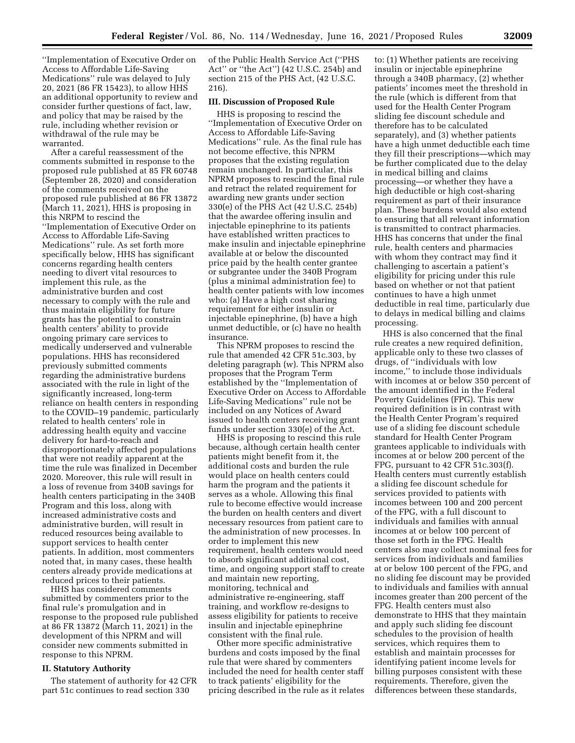''Implementation of Executive Order on Access to Affordable Life-Saving Medications'' rule was delayed to July 20, 2021 (86 FR 15423), to allow HHS an additional opportunity to review and consider further questions of fact, law, and policy that may be raised by the rule, including whether revision or withdrawal of the rule may be warranted.

After a careful reassessment of the comments submitted in response to the proposed rule published at 85 FR 60748 (September 28, 2020) and consideration of the comments received on the proposed rule published at 86 FR 13872 (March 11, 2021), HHS is proposing in this NRPM to rescind the ''Implementation of Executive Order on Access to Affordable Life-Saving Medications'' rule. As set forth more specifically below, HHS has significant concerns regarding health centers needing to divert vital resources to implement this rule, as the administrative burden and cost necessary to comply with the rule and thus maintain eligibility for future grants has the potential to constrain health centers' ability to provide ongoing primary care services to medically underserved and vulnerable populations. HHS has reconsidered previously submitted comments regarding the administrative burdens associated with the rule in light of the significantly increased, long-term reliance on health centers in responding to the COVID–19 pandemic, particularly related to health centers' role in addressing health equity and vaccine delivery for hard-to-reach and disproportionately affected populations that were not readily apparent at the time the rule was finalized in December 2020. Moreover, this rule will result in a loss of revenue from 340B savings for health centers participating in the 340B Program and this loss, along with increased administrative costs and administrative burden, will result in reduced resources being available to support services to health center patients. In addition, most commenters noted that, in many cases, these health centers already provide medications at reduced prices to their patients.

HHS has considered comments submitted by commenters prior to the final rule's promulgation and in response to the proposed rule published at 86 FR 13872 (March 11, 2021) in the development of this NPRM and will consider new comments submitted in response to this NPRM.

### **II. Statutory Authority**

The statement of authority for 42 CFR part 51c continues to read section 330

of the Public Health Service Act (''PHS Act'' or ''the Act'') (42 U.S.C. 254b) and section 215 of the PHS Act, (42 U.S.C. 216).

### **III. Discussion of Proposed Rule**

HHS is proposing to rescind the ''Implementation of Executive Order on Access to Affordable Life-Saving Medications'' rule. As the final rule has not become effective, this NPRM proposes that the existing regulation remain unchanged. In particular, this NPRM proposes to rescind the final rule and retract the related requirement for awarding new grants under section 330(e) of the PHS Act (42 U.S.C. 254b) that the awardee offering insulin and injectable epinephrine to its patients have established written practices to make insulin and injectable epinephrine available at or below the discounted price paid by the health center grantee or subgrantee under the 340B Program (plus a minimal administration fee) to health center patients with low incomes who: (a) Have a high cost sharing requirement for either insulin or injectable epinephrine, (b) have a high unmet deductible, or (c) have no health insurance.

This NPRM proposes to rescind the rule that amended 42 CFR 51c.303, by deleting paragraph (w). This NPRM also proposes that the Program Term established by the ''Implementation of Executive Order on Access to Affordable Life-Saving Medications'' rule not be included on any Notices of Award issued to health centers receiving grant funds under section 330(e) of the Act.

HHS is proposing to rescind this rule because, although certain health center patients might benefit from it, the additional costs and burden the rule would place on health centers could harm the program and the patients it serves as a whole. Allowing this final rule to become effective would increase the burden on health centers and divert necessary resources from patient care to the administration of new processes. In order to implement this new requirement, health centers would need to absorb significant additional cost, time, and ongoing support staff to create and maintain new reporting, monitoring, technical and administrative re-engineering, staff training, and workflow re-designs to assess eligibility for patients to receive insulin and injectable epinephrine consistent with the final rule.

Other more specific administrative burdens and costs imposed by the final rule that were shared by commenters included the need for health center staff to track patients' eligibility for the pricing described in the rule as it relates

to: (1) Whether patients are receiving insulin or injectable epinephrine through a 340B pharmacy, (2) whether patients' incomes meet the threshold in the rule (which is different from that used for the Health Center Program sliding fee discount schedule and therefore has to be calculated separately), and (3) whether patients have a high unmet deductible each time they fill their prescriptions—which may be further complicated due to the delay in medical billing and claims processing—or whether they have a high deductible or high cost-sharing requirement as part of their insurance plan. These burdens would also extend to ensuring that all relevant information is transmitted to contract pharmacies. HHS has concerns that under the final rule, health centers and pharmacies with whom they contract may find it challenging to ascertain a patient's eligibility for pricing under this rule based on whether or not that patient continues to have a high unmet deductible in real time, particularly due to delays in medical billing and claims processing.

HHS is also concerned that the final rule creates a new required definition, applicable only to these two classes of drugs, of ''individuals with low income,'' to include those individuals with incomes at or below 350 percent of the amount identified in the Federal Poverty Guidelines (FPG). This new required definition is in contrast with the Health Center Program's required use of a sliding fee discount schedule standard for Health Center Program grantees applicable to individuals with incomes at or below 200 percent of the FPG, pursuant to 42 CFR 51c.303(f). Health centers must currently establish a sliding fee discount schedule for services provided to patients with incomes between 100 and 200 percent of the FPG, with a full discount to individuals and families with annual incomes at or below 100 percent of those set forth in the FPG. Health centers also may collect nominal fees for services from individuals and families at or below 100 percent of the FPG, and no sliding fee discount may be provided to individuals and families with annual incomes greater than 200 percent of the FPG. Health centers must also demonstrate to HHS that they maintain and apply such sliding fee discount schedules to the provision of health services, which requires them to establish and maintain processes for identifying patient income levels for billing purposes consistent with these requirements. Therefore, given the differences between these standards,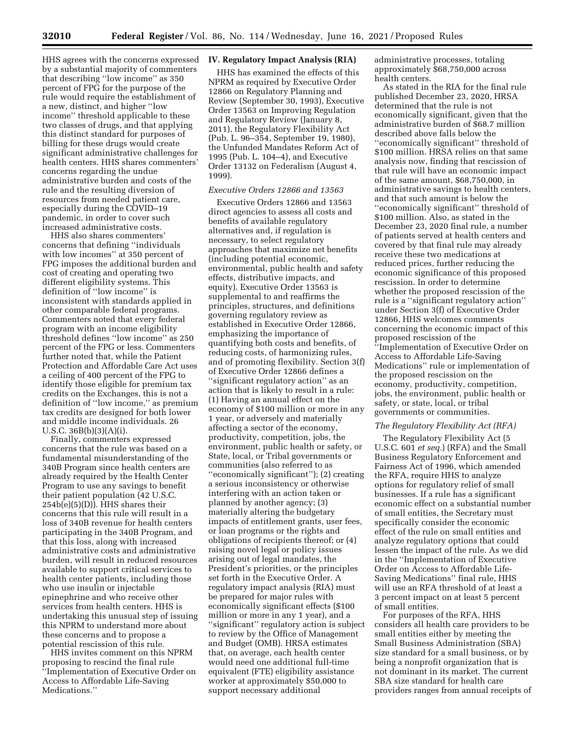HHS agrees with the concerns expressed by a substantial majority of commenters that describing ''low income'' as 350 percent of FPG for the purpose of the rule would require the establishment of a new, distinct, and higher ''low income'' threshold applicable to these two classes of drugs, and that applying this distinct standard for purposes of billing for these drugs would create significant administrative challenges for health centers. HHS shares commenters' concerns regarding the undue administrative burden and costs of the rule and the resulting diversion of resources from needed patient care, especially during the COVID–19 pandemic, in order to cover such increased administrative costs.

HHS also shares commenters' concerns that defining ''individuals with low incomes'' at 350 percent of FPG imposes the additional burden and cost of creating and operating two different eligibility systems. This definition of ''low income'' is inconsistent with standards applied in other comparable federal programs. Commenters noted that every federal program with an income eligibility threshold defines ''low income'' as 250 percent of the FPG or less. Commenters further noted that, while the Patient Protection and Affordable Care Act uses a ceiling of 400 percent of the FPG to identify those eligible for premium tax credits on the Exchanges, this is not a definition of ''low income,'' as premium tax credits are designed for both lower and middle income individuals. 26 U.S.C. 36B(b)(3)(A)(i).

Finally, commenters expressed concerns that the rule was based on a fundamental misunderstanding of the 340B Program since health centers are already required by the Health Center Program to use any savings to benefit their patient population (42 U.S.C.  $254b(e)(5)(D)$ . HHS shares their concerns that this rule will result in a loss of 340B revenue for health centers participating in the 340B Program, and that this loss, along with increased administrative costs and administrative burden, will result in reduced resources available to support critical services to health center patients, including those who use insulin or injectable epinephrine and who receive other services from health centers. HHS is undertaking this unusual step of issuing this NPRM to understand more about these concerns and to propose a potential rescission of this rule.

HHS invites comment on this NPRM proposing to rescind the final rule ''Implementation of Executive Order on Access to Affordable Life-Saving Medications.''

## **IV. Regulatory Impact Analysis (RIA)**

HHS has examined the effects of this NPRM as required by Executive Order 12866 on Regulatory Planning and Review (September 30, 1993), Executive Order 13563 on Improving Regulation and Regulatory Review (January 8, 2011), the Regulatory Flexibility Act (Pub. L. 96–354, September 19, 1980), the Unfunded Mandates Reform Act of 1995 (Pub. L. 104–4), and Executive Order 13132 on Federalism (August 4, 1999).

### *Executive Orders 12866 and 13563*

Executive Orders 12866 and 13563 direct agencies to assess all costs and benefits of available regulatory alternatives and, if regulation is necessary, to select regulatory approaches that maximize net benefits (including potential economic, environmental, public health and safety effects, distributive impacts, and equity). Executive Order 13563 is supplemental to and reaffirms the principles, structures, and definitions governing regulatory review as established in Executive Order 12866, emphasizing the importance of quantifying both costs and benefits, of reducing costs, of harmonizing rules, and of promoting flexibility. Section 3(f) of Executive Order 12866 defines a ''significant regulatory action'' as an action that is likely to result in a rule: (1) Having an annual effect on the economy of \$100 million or more in any 1 year, or adversely and materially affecting a sector of the economy, productivity, competition, jobs, the environment, public health or safety, or State, local, or Tribal governments or communities (also referred to as ''economically significant''); (2) creating a serious inconsistency or otherwise interfering with an action taken or planned by another agency; (3) materially altering the budgetary impacts of entitlement grants, user fees, or loan programs or the rights and obligations of recipients thereof; or (4) raising novel legal or policy issues arising out of legal mandates, the President's priorities, or the principles set forth in the Executive Order. A regulatory impact analysis (RIA) must be prepared for major rules with economically significant effects (\$100 million or more in any 1 year), and a ''significant'' regulatory action is subject to review by the Office of Management and Budget (OMB). HRSA estimates that, on average, each health center would need one additional full-time equivalent (FTE) eligibility assistance worker at approximately \$50,000 to support necessary additional

administrative processes, totaling approximately \$68,750,000 across health centers.

As stated in the RIA for the final rule published December 23, 2020, HRSA determined that the rule is not economically significant, given that the administrative burden of \$68.7 million described above falls below the ''economically significant'' threshold of \$100 million. HRSA relies on that same analysis now, finding that rescission of that rule will have an economic impact of the same amount, \$68,750,000, in administrative savings to health centers, and that such amount is below the ''economically significant'' threshold of \$100 million. Also, as stated in the December 23, 2020 final rule, a number of patients served at health centers and covered by that final rule may already receive these two medications at reduced prices, further reducing the economic significance of this proposed rescission. In order to determine whether the proposed rescission of the rule is a ''significant regulatory action'' under Section 3(f) of Executive Order 12866, HHS welcomes comments concerning the economic impact of this proposed rescission of the ''Implementation of Executive Order on Access to Affordable Life-Saving Medications'' rule or implementation of the proposed rescission on the economy, productivity, competition, jobs, the environment, public health or safety, or state, local, or tribal governments or communities.

#### *The Regulatory Flexibility Act (RFA)*

The Regulatory Flexibility Act (5 U.S.C. 601 *et seq.*) (RFA) and the Small Business Regulatory Enforcement and Fairness Act of 1996, which amended the RFA, require HHS to analyze options for regulatory relief of small businesses. If a rule has a significant economic effect on a substantial number of small entities, the Secretary must specifically consider the economic effect of the rule on small entities and analyze regulatory options that could lessen the impact of the rule. As we did in the ''Implementation of Executive Order on Access to Affordable Life-Saving Medications'' final rule, HHS will use an RFA threshold of at least a 3 percent impact on at least 5 percent of small entities.

For purposes of the RFA, HHS considers all health care providers to be small entities either by meeting the Small Business Administration (SBA) size standard for a small business, or by being a nonprofit organization that is not dominant in its market. The current SBA size standard for health care providers ranges from annual receipts of